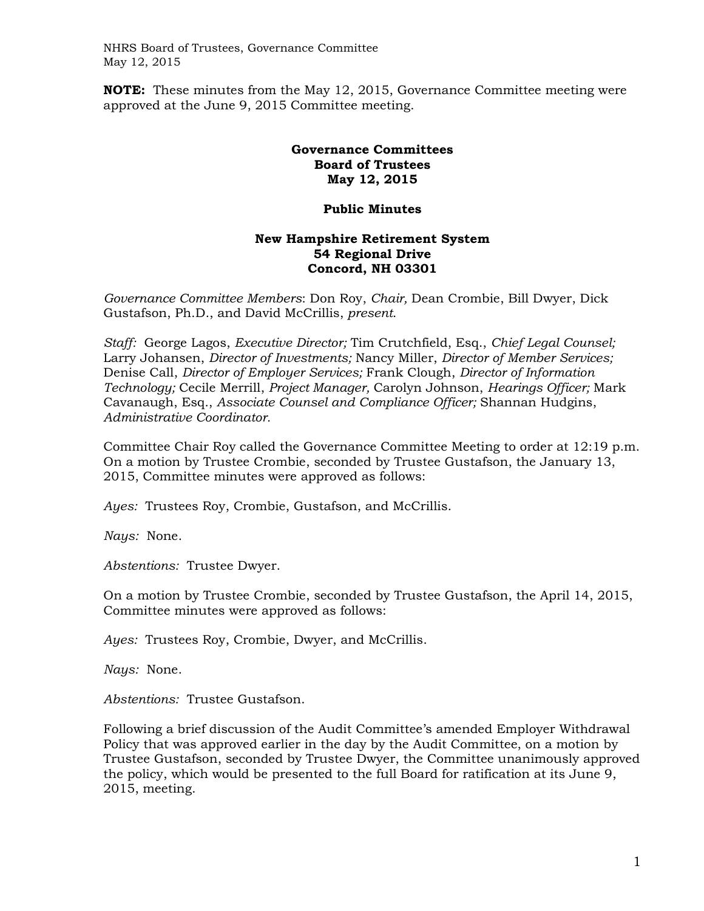NHRS Board of Trustees, Governance Committee May 12, 2015

**NOTE:** These minutes from the May 12, 2015, Governance Committee meeting were approved at the June 9, 2015 Committee meeting.

## **Governance Committees Board of Trustees May 12, 2015**

## **Public Minutes**

## **New Hampshire Retirement System 54 Regional Drive Concord, NH 03301**

*Governance Committee Members*: Don Roy, *Chair,* Dean Crombie, Bill Dwyer, Dick Gustafson, Ph.D., and David McCrillis, *present*.

*Staff:* George Lagos, *Executive Director;* Tim Crutchfield, Esq., *Chief Legal Counsel;*  Larry Johansen, *Director of Investments;* Nancy Miller, *Director of Member Services;*  Denise Call, *Director of Employer Services;* Frank Clough, *Director of Information Technology;* Cecile Merrill, *Project Manager,* Carolyn Johnson, *Hearings Officer;* Mark Cavanaugh, Esq., *Associate Counsel and Compliance Officer;* Shannan Hudgins, *Administrative Coordinator.* 

Committee Chair Roy called the Governance Committee Meeting to order at 12:19 p.m. On a motion by Trustee Crombie, seconded by Trustee Gustafson, the January 13, 2015, Committee minutes were approved as follows:

*Ayes:* Trustees Roy, Crombie, Gustafson, and McCrillis.

*Nays:* None.

*Abstentions:* Trustee Dwyer.

On a motion by Trustee Crombie, seconded by Trustee Gustafson, the April 14, 2015, Committee minutes were approved as follows:

*Ayes:* Trustees Roy, Crombie, Dwyer, and McCrillis.

*Nays:* None.

*Abstentions:* Trustee Gustafson.

Following a brief discussion of the Audit Committee's amended Employer Withdrawal Policy that was approved earlier in the day by the Audit Committee, on a motion by Trustee Gustafson, seconded by Trustee Dwyer, the Committee unanimously approved the policy, which would be presented to the full Board for ratification at its June 9, 2015, meeting.